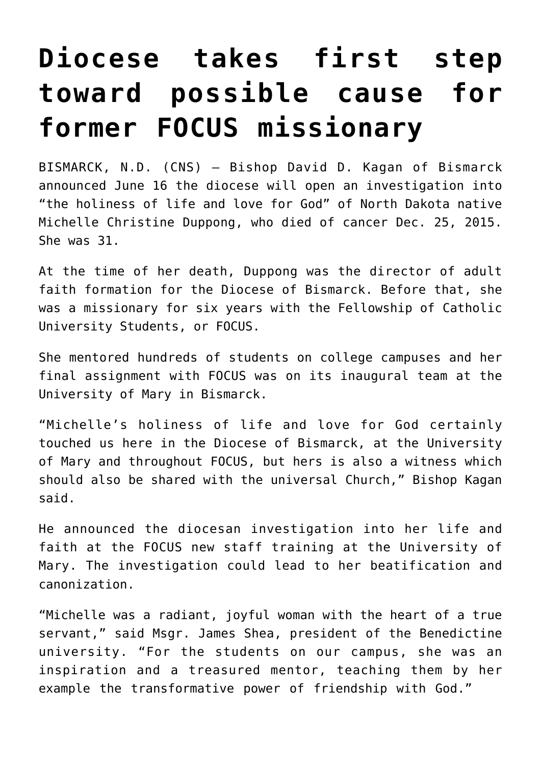## **[Diocese takes first step](https://www.osvnews.com/2022/06/20/diocese-takes-first-step-toward-possible-cause-for-former-focus-missionary/) [toward possible cause for](https://www.osvnews.com/2022/06/20/diocese-takes-first-step-toward-possible-cause-for-former-focus-missionary/) [former FOCUS missionary](https://www.osvnews.com/2022/06/20/diocese-takes-first-step-toward-possible-cause-for-former-focus-missionary/)**

BISMARCK, N.D. (CNS) — Bishop David D. Kagan of Bismarck announced June 16 the diocese will open an investigation into "the holiness of life and love for God" of North Dakota native Michelle Christine Duppong, who died of cancer Dec. 25, 2015. She was 31.

At the time of her death, Duppong was the director of adult faith formation for the Diocese of Bismarck. Before that, she was a missionary for six years with the Fellowship of Catholic University Students, or FOCUS.

She mentored hundreds of students on college campuses and her final assignment with FOCUS was on its inaugural team at the University of Mary in Bismarck.

"Michelle's holiness of life and love for God certainly touched us here in the Diocese of Bismarck, at the University of Mary and throughout FOCUS, but hers is also a witness which should also be shared with the universal Church," Bishop Kagan said.

He announced the diocesan investigation into her life and faith at the FOCUS new staff training at the University of Mary. The investigation could lead to her beatification and canonization.

"Michelle was a radiant, joyful woman with the heart of a true servant," said Msgr. James Shea, president of the Benedictine university. "For the students on our campus, she was an inspiration and a treasured mentor, teaching them by her example the transformative power of friendship with God."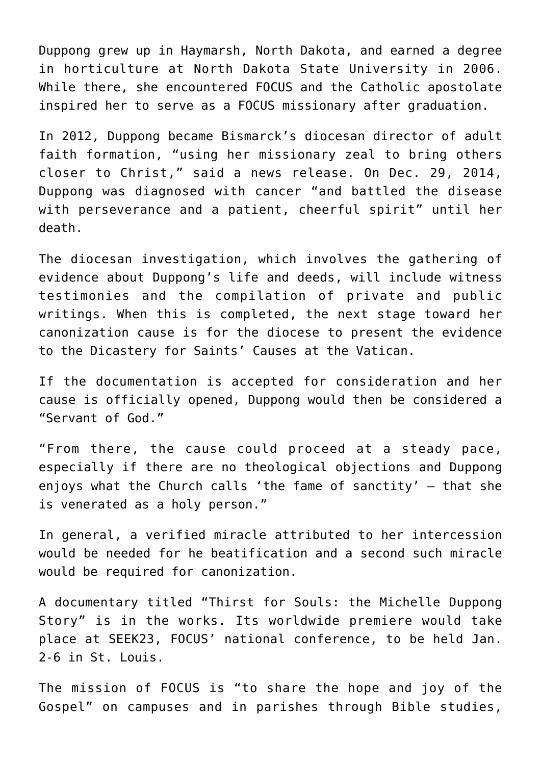Duppong grew up in Haymarsh, North Dakota, and earned a degree in horticulture at North Dakota State University in 2006. While there, she encountered FOCUS and the Catholic apostolate inspired her to serve as a FOCUS missionary after graduation.

In 2012, Duppong became Bismarck's diocesan director of adult faith formation, "using her missionary zeal to bring others closer to Christ," said a news release. On Dec. 29, 2014, Duppong was diagnosed with cancer "and battled the disease with perseverance and a patient, cheerful spirit" until her death.

The diocesan investigation, which involves the gathering of evidence about Duppong's life and deeds, will include witness testimonies and the compilation of private and public writings. When this is completed, the next stage toward her canonization cause is for the diocese to present the evidence to the Dicastery for Saints' Causes at the Vatican.

If the documentation is accepted for consideration and her cause is officially opened, Duppong would then be considered a "Servant of God."

"From there, the cause could proceed at a steady pace, especially if there are no theological objections and Duppong enjoys what the Church calls 'the fame of sanctity' — that she is venerated as a holy person."

In general, a verified miracle attributed to her intercession would be needed for he beatification and a second such miracle would be required for canonization.

A documentary titled "Thirst for Souls: the Michelle Duppong Story" is in the works. Its worldwide premiere would take place at SEEK23, FOCUS' national conference, to be held Jan. 2-6 in St. Louis.

The mission of FOCUS is "to share the hope and joy of the Gospel" on campuses and in parishes through Bible studies,